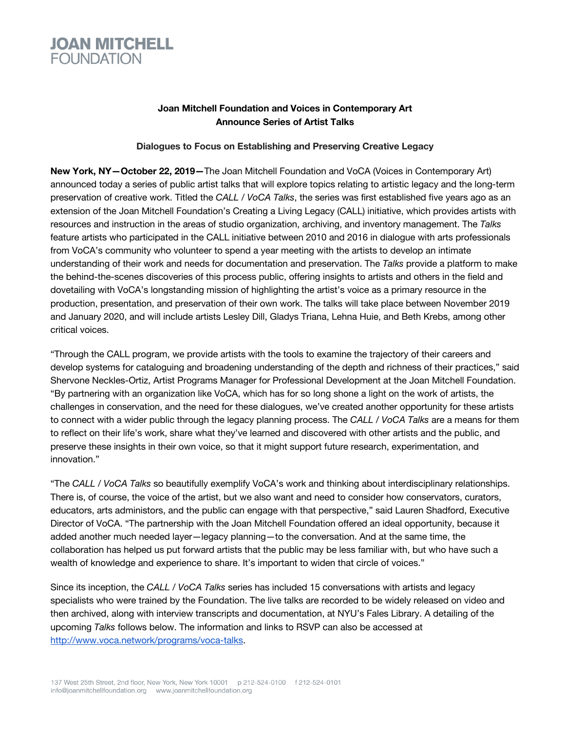

## **Joan Mitchell Foundation and Voices in Contemporary Art Announce Series of Artist Talks**

#### **Dialogues to Focus on Establishing and Preserving Creative Legacy**

**New York, NY—October 22, 2019—**The Joan Mitchell Foundation and VoCA (Voices in Contemporary Art) announced today a series of public artist talks that will explore topics relating to artistic legacy and the long-term preservation of creative work. Titled the *CALL / VoCA Talks*, the series was first established five years ago as an extension of the Joan Mitchell Foundation's Creating a Living Legacy (CALL) initiative, which provides artists with resources and instruction in the areas of studio organization, archiving, and inventory management. The *Talks* feature artists who participated in the CALL initiative between 2010 and 2016 in dialogue with arts professionals from VoCA's community who volunteer to spend a year meeting with the artists to develop an intimate understanding of their work and needs for documentation and preservation. The *Talks* provide a platform to make the behind-the-scenes discoveries of this process public, offering insights to artists and others in the field and dovetailing with VoCA's longstanding mission of highlighting the artist's voice as a primary resource in the production, presentation, and preservation of their own work. The talks will take place between November 2019 and January 2020, and will include artists Lesley Dill, Gladys Triana, Lehna Huie, and Beth Krebs, among other critical voices.

"Through the CALL program, we provide artists with the tools to examine the trajectory of their careers and develop systems for cataloguing and broadening understanding of the depth and richness of their practices," said Shervone Neckles-Ortiz, Artist Programs Manager for Professional Development at the Joan Mitchell Foundation. "By partnering with an organization like VoCA, which has for so long shone a light on the work of artists, the challenges in conservation, and the need for these dialogues, we've created another opportunity for these artists to connect with a wider public through the legacy planning process. The *CALL / VoCA Talks* are a means for them to reflect on their life's work, share what they've learned and discovered with other artists and the public, and preserve these insights in their own voice, so that it might support future research, experimentation, and innovation."

"The *CALL / VoCA Talks* so beautifully exemplify VoCA's work and thinking about interdisciplinary relationships. There is, of course, the voice of the artist, but we also want and need to consider how conservators, curators, educators, arts administors, and the public can engage with that perspective," said Lauren Shadford, Executive Director of VoCA. "The partnership with the Joan Mitchell Foundation offered an ideal opportunity, because it added another much needed layer—legacy planning—to the conversation. And at the same time, the collaboration has helped us put forward artists that the public may be less familiar with, but who have such a wealth of knowledge and experience to share. It's important to widen that circle of voices."

Since its inception, the *CALL / VoCA Talks* series has included 15 conversations with artists and legacy specialists who were trained by the Foundation. The live talks are recorded to be widely released on video and then archived, along with interview transcripts and documentation, at NYU's Fales Library. A detailing of the upcoming *Talks* follows below. The information and links to RSVP can also be accessed at http://www.voca.network/programs/voca-talks.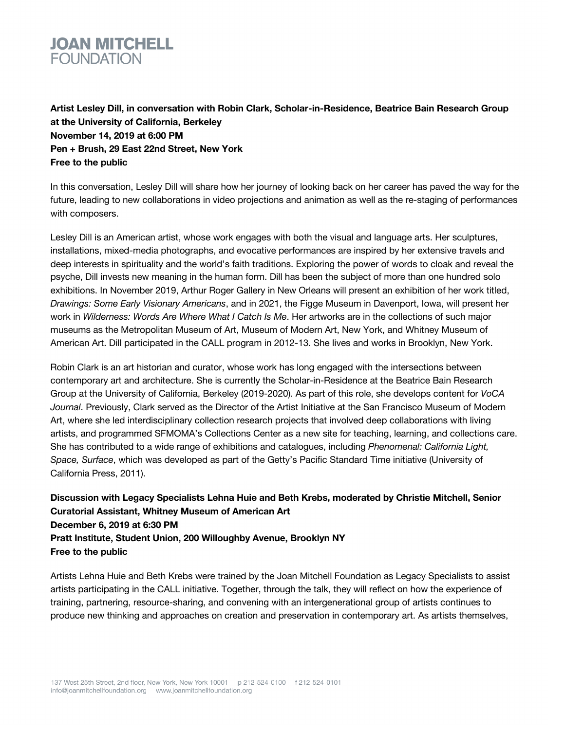

**Artist Lesley Dill, in conversation with Robin Clark, Scholar-in-Residence, Beatrice Bain Research Group at the University of California, Berkeley November 14, 2019 at 6:00 PM Pen + Brush, 29 East 22nd Street, New York Free to the public**

In this conversation, Lesley Dill will share how her journey of looking back on her career has paved the way for the future, leading to new collaborations in video projections and animation as well as the re-staging of performances with composers.

Lesley Dill is an American artist, whose work engages with both the visual and language arts. Her sculptures, installations, mixed-media photographs, and evocative performances are inspired by her extensive travels and deep interests in spirituality and the world's faith traditions. Exploring the power of words to cloak and reveal the psyche, Dill invests new meaning in the human form. Dill has been the subject of more than one hundred solo exhibitions. In November 2019, Arthur Roger Gallery in New Orleans will present an exhibition of her work titled, *Drawings: Some Early Visionary Americans*, and in 2021, the Figge Museum in Davenport, Iowa, will present her work in *Wilderness: Words Are Where What I Catch Is Me*. Her artworks are in the collections of such major museums as the Metropolitan Museum of Art, Museum of Modern Art, New York, and Whitney Museum of American Art. Dill participated in the CALL program in 2012-13. She lives and works in Brooklyn, New York.

Robin Clark is an art historian and curator, whose work has long engaged with the intersections between contemporary art and architecture. She is currently the Scholar-in-Residence at the Beatrice Bain Research Group at the University of California, Berkeley (2019-2020). As part of this role, she develops content for *VoCA Journal*. Previously, Clark served as the Director of the Artist Initiative at the San Francisco Museum of Modern Art, where she led interdisciplinary collection research projects that involved deep collaborations with living artists, and programmed SFMOMA's Collections Center as a new site for teaching, learning, and collections care. She has contributed to a wide range of exhibitions and catalogues, including *Phenomenal: California Light, Space, Surface*, which was developed as part of the Getty's Pacific Standard Time initiative (University of California Press, 2011).

**Discussion with Legacy Specialists Lehna Huie and Beth Krebs, moderated by Christie Mitchell, Senior Curatorial Assistant, Whitney Museum of American Art December 6, 2019 at 6:30 PM Pratt Institute, Student Union, 200 Willoughby Avenue, Brooklyn NY Free to the public**

Artists Lehna Huie and Beth Krebs were trained by the Joan Mitchell Foundation as Legacy Specialists to assist artists participating in the CALL initiative. Together, through the talk, they will reflect on how the experience of training, partnering, resource-sharing, and convening with an intergenerational group of artists continues to produce new thinking and approaches on creation and preservation in contemporary art. As artists themselves,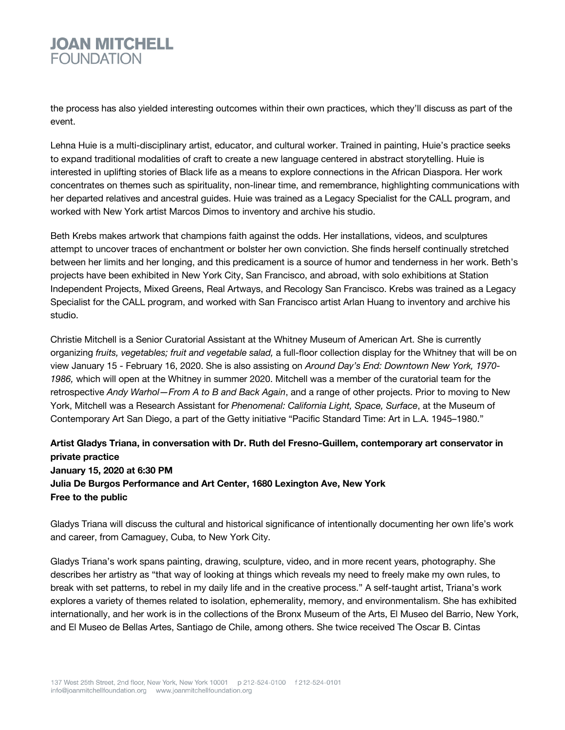# **JOAN MITCHELL FOUNDATION**

the process has also yielded interesting outcomes within their own practices, which they'll discuss as part of the event.

Lehna Huie is a multi-disciplinary artist, educator, and cultural worker. Trained in painting, Huie's practice seeks to expand traditional modalities of craft to create a new language centered in abstract storytelling. Huie is interested in uplifting stories of Black life as a means to explore connections in the African Diaspora. Her work concentrates on themes such as spirituality, non-linear time, and remembrance, highlighting communications with her departed relatives and ancestral guides. Huie was trained as a Legacy Specialist for the CALL program, and worked with New York artist Marcos Dimos to inventory and archive his studio.

Beth Krebs makes artwork that champions faith against the odds. Her installations, videos, and sculptures attempt to uncover traces of enchantment or bolster her own conviction. She finds herself continually stretched between her limits and her longing, and this predicament is a source of humor and tenderness in her work. Beth's projects have been exhibited in New York City, San Francisco, and abroad, with solo exhibitions at Station Independent Projects, Mixed Greens, Real Artways, and Recology San Francisco. Krebs was trained as a Legacy Specialist for the CALL program, and worked with San Francisco artist Arlan Huang to inventory and archive his studio.

Christie Mitchell is a Senior Curatorial Assistant at the Whitney Museum of American Art. She is currently organizing *fruits, vegetables; fruit and vegetable salad,* a full-floor collection display for the Whitney that will be on view January 15 - February 16, 2020. She is also assisting on *Around Day's End: Downtown New York, 1970- 1986,* which will open at the Whitney in summer 2020. Mitchell was a member of the curatorial team for the retrospective *Andy Warhol—From A to B and Back Again*, and a range of other projects. Prior to moving to New York, Mitchell was a Research Assistant for *Phenomenal: California Light, Space, Surface*, at the Museum of Contemporary Art San Diego, a part of the Getty initiative "Pacific Standard Time: Art in L.A. 1945–1980."

## **Artist Gladys Triana, in conversation with Dr. Ruth del Fresno-Guillem, contemporary art conservator in private practice January 15, 2020 at 6:30 PM Julia De Burgos Performance and Art Center, 1680 Lexington Ave, New York Free to the public**

Gladys Triana will discuss the cultural and historical significance of intentionally documenting her own life's work and career, from Camaguey, Cuba, to New York City.

Gladys Triana's work spans painting, drawing, sculpture, video, and in more recent years, photography. She describes her artistry as "that way of looking at things which reveals my need to freely make my own rules, to break with set patterns, to rebel in my daily life and in the creative process." A self-taught artist, Triana's work explores a variety of themes related to isolation, ephemerality, memory, and environmentalism. She has exhibited internationally, and her work is in the collections of the Bronx Museum of the Arts, El Museo del Barrio, New York, and El Museo de Bellas Artes, Santiago de Chile, among others. She twice received The Oscar B. Cintas